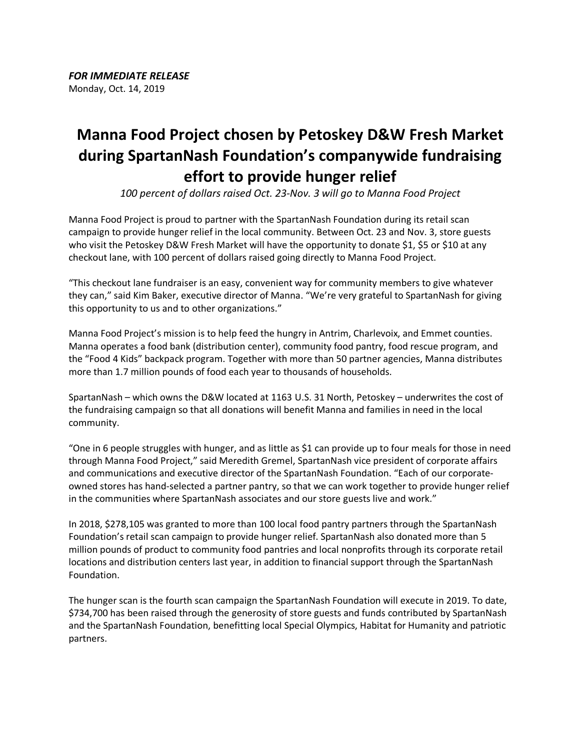## **Manna Food Project chosen by Petoskey D&W Fresh Market during SpartanNash Foundation's companywide fundraising effort to provide hunger relief**

*100 percent of dollars raised Oct. 23-Nov. 3 will go to Manna Food Project*

Manna Food Project is proud to partner with the SpartanNash Foundation during its retail scan campaign to provide hunger relief in the local community. Between Oct. 23 and Nov. 3, store guests who visit the Petoskey D&W Fresh Market will have the opportunity to donate \$1, \$5 or \$10 at any checkout lane, with 100 percent of dollars raised going directly to Manna Food Project.

"This checkout lane fundraiser is an easy, convenient way for community members to give whatever they can," said Kim Baker, executive director of Manna. "We're very grateful to SpartanNash for giving this opportunity to us and to other organizations."

Manna Food Project's mission is to help feed the hungry in Antrim, Charlevoix, and Emmet counties. Manna operates a food bank (distribution center), community food pantry, food rescue program, and the "Food 4 Kids" backpack program. Together with more than 50 partner agencies, Manna distributes more than 1.7 million pounds of food each year to thousands of households.

SpartanNash – which owns the D&W located at 1163 U.S. 31 North, Petoskey – underwrites the cost of the fundraising campaign so that all donations will benefit Manna and families in need in the local community.

"One in 6 people struggles with hunger, and as little as \$1 can provide up to four meals for those in need through Manna Food Project," said Meredith Gremel, SpartanNash vice president of corporate affairs and communications and executive director of the SpartanNash Foundation. "Each of our corporateowned stores has hand-selected a partner pantry, so that we can work together to provide hunger relief in the communities where SpartanNash associates and our store guests live and work."

In 2018, \$278,105 was granted to more than 100 local food pantry partners through the SpartanNash Foundation's retail scan campaign to provide hunger relief. SpartanNash also donated more than 5 million pounds of product to community food pantries and local nonprofits through its corporate retail locations and distribution centers last year, in addition to financial support through the SpartanNash Foundation.

The hunger scan is the fourth scan campaign the SpartanNash Foundation will execute in 2019. To date, \$734,700 has been raised through the generosity of store guests and funds contributed by SpartanNash and the SpartanNash Foundation, benefitting local Special Olympics, Habitat for Humanity and patriotic partners.